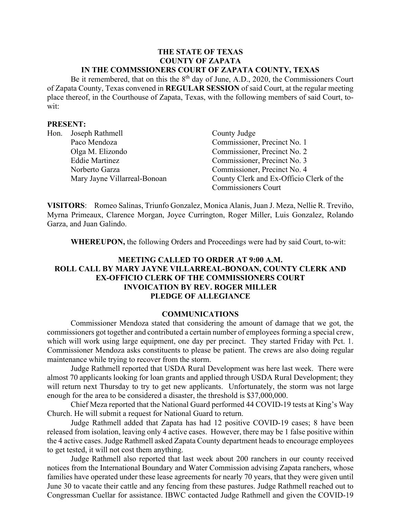#### **THE STATE OF TEXAS COUNTY OF ZAPATA IN THE COMMSSIONERS COURT OF ZAPATA COUNTY, TEXAS**

Be it remembered, that on this the  $8<sup>th</sup>$  day of June, A.D., 2020, the Commissioners Court of Zapata County, Texas convened in **REGULAR SESSION** of said Court, at the regular meeting place thereof, in the Courthouse of Zapata, Texas, with the following members of said Court, towit:

#### **PRESENT:**

| Hon. | Joseph Rathmell              | County Judge                             |
|------|------------------------------|------------------------------------------|
|      | Paco Mendoza                 | Commissioner, Precinct No. 1             |
|      | Olga M. Elizondo             | Commissioner, Precinct No. 2             |
|      | <b>Eddie Martinez</b>        | Commissioner, Precinct No. 3             |
|      | Norberto Garza               | Commissioner, Precinct No. 4             |
|      | Mary Jayne Villarreal-Bonoan | County Clerk and Ex-Officio Clerk of the |
|      |                              | <b>Commissioners Court</b>               |

**VISITORS**: Romeo Salinas, Triunfo Gonzalez, Monica Alanis, Juan J. Meza, Nellie R. Treviño, Myrna Primeaux, Clarence Morgan, Joyce Currington, Roger Miller, Luis Gonzalez, Rolando Garza, and Juan Galindo.

**WHEREUPON,** the following Orders and Proceedings were had by said Court, to-wit:

# **MEETING CALLED TO ORDER AT 9:00 A.M. ROLL CALL BY MARY JAYNE VILLARREAL-BONOAN, COUNTY CLERK AND EX-OFFICIO CLERK OF THE COMMISSIONERS COURT INVOICATION BY REV. ROGER MILLER PLEDGE OF ALLEGIANCE**

#### **COMMUNICATIONS**

Commissioner Mendoza stated that considering the amount of damage that we got, the commissioners got together and contributed a certain number of employees forming a special crew, which will work using large equipment, one day per precinct. They started Friday with Pct. 1. Commissioner Mendoza asks constituents to please be patient. The crews are also doing regular maintenance while trying to recover from the storm.

Judge Rathmell reported that USDA Rural Development was here last week. There were almost 70 applicants looking for loan grants and applied through USDA Rural Development; they will return next Thursday to try to get new applicants. Unfortunately, the storm was not large enough for the area to be considered a disaster, the threshold is \$37,000,000.

Chief Meza reported that the National Guard performed 44 COVID-19 tests at King's Way Church. He will submit a request for National Guard to return.

Judge Rathmell added that Zapata has had 12 positive COVID-19 cases; 8 have been released from isolation, leaving only 4 active cases. However, there may be 1 false positive within the 4 active cases. Judge Rathmell asked Zapata County department heads to encourage employees to get tested, it will not cost them anything.

Judge Rathmell also reported that last week about 200 ranchers in our county received notices from the International Boundary and Water Commission advising Zapata ranchers, whose families have operated under these lease agreements for nearly 70 years, that they were given until June 30 to vacate their cattle and any fencing from these pastures. Judge Rathmell reached out to Congressman Cuellar for assistance. IBWC contacted Judge Rathmell and given the COVID-19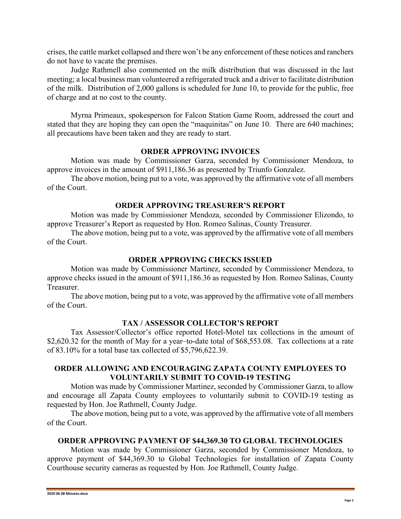crises, the cattle market collapsed and there won't be any enforcement of these notices and ranchers do not have to vacate the premises.

Judge Rathmell also commented on the milk distribution that was discussed in the last meeting; a local business man volunteered a refrigerated truck and a driver to facilitate distribution of the milk. Distribution of 2,000 gallons is scheduled for June 10, to provide for the public, free of charge and at no cost to the county.

Myrna Primeaux, spokesperson for Falcon Station Game Room, addressed the court and stated that they are hoping they can open the "maquinitas" on June 10. There are 640 machines; all precautions have been taken and they are ready to start.

## **ORDER APPROVING INVOICES**

Motion was made by Commissioner Garza, seconded by Commissioner Mendoza, to approve invoices in the amount of \$911,186.36 as presented by Triunfo Gonzalez.

The above motion, being put to a vote, was approved by the affirmative vote of all members of the Court.

#### **ORDER APPROVING TREASURER'S REPORT**

Motion was made by Commissioner Mendoza, seconded by Commissioner Elizondo, to approve Treasurer's Report as requested by Hon. Romeo Salinas, County Treasurer.

The above motion, being put to a vote, was approved by the affirmative vote of all members of the Court.

#### **ORDER APPROVING CHECKS ISSUED**

Motion was made by Commissioner Martinez, seconded by Commissioner Mendoza, to approve checks issued in the amount of \$911,186.36 as requested by Hon. Romeo Salinas, County Treasurer.

The above motion, being put to a vote, was approved by the affirmative vote of all members of the Court.

#### **TAX / ASSESSOR COLLECTOR'S REPORT**

Tax Assessor/Collector's office reported Hotel-Motel tax collections in the amount of \$2,620.32 for the month of May for a year–to-date total of \$68,553.08. Tax collections at a rate of 83.10% for a total base tax collected of \$5,796,622.39.

#### **ORDER ALLOWING AND ENCOURAGING ZAPATA COUNTY EMPLOYEES TO VOLUNTARILY SUBMIT TO COVID-19 TESTING**

Motion was made by Commissioner Martinez, seconded by Commissioner Garza, to allow and encourage all Zapata County employees to voluntarily submit to COVID-19 testing as requested by Hon. Joe Rathmell, County Judge.

The above motion, being put to a vote, was approved by the affirmative vote of all members of the Court.

#### **ORDER APPROVING PAYMENT OF \$44,369.30 TO GLOBAL TECHNOLOGIES**

Motion was made by Commissioner Garza, seconded by Commissioner Mendoza, to approve payment of \$44,369.30 to Global Technologies for installation of Zapata County Courthouse security cameras as requested by Hon. Joe Rathmell, County Judge.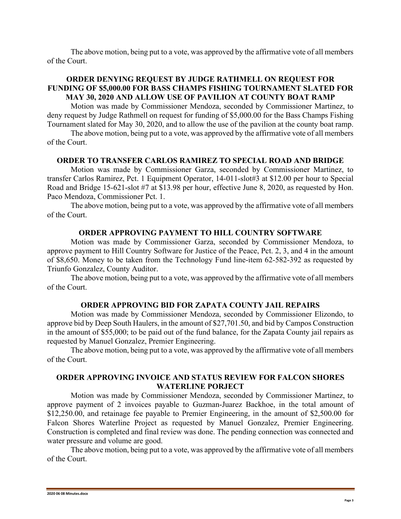The above motion, being put to a vote, was approved by the affirmative vote of all members of the Court.

## **ORDER DENYING REQUEST BY JUDGE RATHMELL ON REQUEST FOR FUNDING OF \$5,000.00 FOR BASS CHAMPS FISHING TOURNAMENT SLATED FOR MAY 30, 2020 AND ALLOW USE OF PAVILION AT COUNTY BOAT RAMP**

Motion was made by Commissioner Mendoza, seconded by Commissioner Martinez, to deny request by Judge Rathmell on request for funding of \$5,000.00 for the Bass Champs Fishing Tournament slated for May 30, 2020, and to allow the use of the pavilion at the county boat ramp.

The above motion, being put to a vote, was approved by the affirmative vote of all members of the Court.

#### **ORDER TO TRANSFER CARLOS RAMIREZ TO SPECIAL ROAD AND BRIDGE**

Motion was made by Commissioner Garza, seconded by Commissioner Martinez, to transfer Carlos Ramirez, Pct. 1 Equipment Operator, 14-011-slot#3 at \$12.00 per hour to Special Road and Bridge 15-621-slot #7 at \$13.98 per hour, effective June 8, 2020, as requested by Hon. Paco Mendoza, Commissioner Pct. 1.

The above motion, being put to a vote, was approved by the affirmative vote of all members of the Court.

#### **ORDER APPROVING PAYMENT TO HILL COUNTRY SOFTWARE**

Motion was made by Commissioner Garza, seconded by Commissioner Mendoza, to approve payment to Hill Country Software for Justice of the Peace, Pct. 2, 3, and 4 in the amount of \$8,650. Money to be taken from the Technology Fund line-item 62-582-392 as requested by Triunfo Gonzalez, County Auditor.

The above motion, being put to a vote, was approved by the affirmative vote of all members of the Court.

#### **ORDER APPROVING BID FOR ZAPATA COUNTY JAIL REPAIRS**

Motion was made by Commissioner Mendoza, seconded by Commissioner Elizondo, to approve bid by Deep South Haulers, in the amount of \$27,701.50, and bid by Campos Construction in the amount of \$55,000; to be paid out of the fund balance, for the Zapata County jail repairs as requested by Manuel Gonzalez, Premier Engineering.

The above motion, being put to a vote, was approved by the affirmative vote of all members of the Court.

### **ORDER APPROVING INVOICE AND STATUS REVIEW FOR FALCON SHORES WATERLINE PORJECT**

Motion was made by Commissioner Mendoza, seconded by Commissioner Martinez, to approve payment of 2 invoices payable to Guzman-Juarez Backhoe, in the total amount of \$12,250.00, and retainage fee payable to Premier Engineering, in the amount of \$2,500.00 for Falcon Shores Waterline Project as requested by Manuel Gonzalez, Premier Engineering. Construction is completed and final review was done. The pending connection was connected and water pressure and volume are good.

The above motion, being put to a vote, was approved by the affirmative vote of all members of the Court.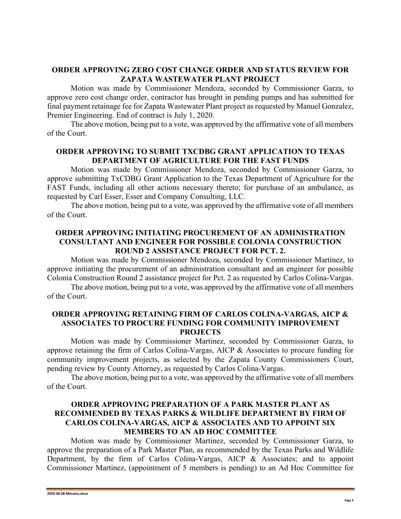## **ORDER APPROVING ZERO COST CHANGE ORDER AND STATUS REVIEW FOR ZAPATA WASTEWATER PLANT PROJECT**

Motion was made by Commissioner Mendoza, seconded by Commissioner Garza, to approve zero cost change order, contractor has brought in pending pumps and has submitted for final payment retainage fee for Zapata Wastewater Plant project as requested by Manuel Gonzalez, Premier Engineering. End of contract is July 1, 2020.

The above motion, being put to a vote, was approved by the affirmative vote of all members of the Court.

## **ORDER APPROVING TO SUBMIT TXCDBG GRANT APPLICATION TO TEXAS DEPARTMENT OF AGRICULTURE FOR THE FAST FUNDS**

Motion was made by Commissioner Mendoza, seconded by Commissioner Garza, to approve submitting TxCDBG Grant Application to the Texas Department of Agriculture for the FAST Funds, including all other actions necessary thereto; for purchase of an ambulance, as requested by Carl Esser, Esser and Company Consulting, LLC.

The above motion, being put to a vote, was approved by the affirmative vote of all members of the Court.

# **ORDER APPROVING INITIATING PROCUREMENT OF AN ADMINISTRATION CONSULTANT AND ENGINEER FOR POSSIBLE COLONIA CONSTRUCTION ROUND 2 ASSISTANCE PROJECT FOR PCT. 2.**

Motion was made by Commissioner Mendoza, seconded by Commissioner Martinez, to approve initiating the procurement of an administration consultant and an engineer for possible Colonia Construction Round 2 assistance project for Pct. 2 as requested by Carlos Colina-Vargas.

The above motion, being put to a vote, was approved by the affirmative vote of all members of the Court.

## **ORDER APPROVING RETAINING FIRM OF CARLOS COLINA-VARGAS, AICP & ASSOCIATES TO PROCURE FUNDING FOR COMMUNITY IMPROVEMENT PROJECTS**

Motion was made by Commissioner Martinez, seconded by Commissioner Garza, to approve retaining the firm of Carlos Colina-Vargas, AICP & Associates to procure funding for community improvement projects, as selected by the Zapata County Commissioners Court, pending review by County Attorney, as requested by Carlos Colina-Vargas.

The above motion, being put to a vote, was approved by the affirmative vote of all members of the Court.

# **ORDER APPROVING PREPARATION OF A PARK MASTER PLANT AS RECOMMENDED BY TEXAS PARKS & WILDLIFE DEPARTMENT BY FIRM OF CARLOS COLINA-VARGAS, AICP & ASSOCIATES AND TO APPOINT SIX MEMBERS TO AN AD HOC COMMITTEE**

Motion was made by Commissioner Martinez, seconded by Commissioner Garza, to approve the preparation of a Park Master Plan, as recommended by the Texas Parks and Wildlife Department, by the firm of Carlos Colina-Vargas, AICP & Associates; and to appoint Commissioner Martinez, (appointment of 5 members is pending) to an Ad Hoc Committee for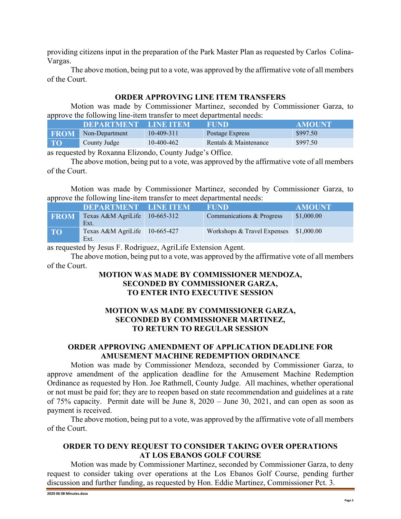providing citizens input in the preparation of the Park Master Plan as requested by Carlos Colina-Vargas.

The above motion, being put to a vote, was approved by the affirmative vote of all members of the Court.

## **ORDER APPROVING LINE ITEM TRANSFERS**

Motion was made by Commissioner Martinez, seconded by Commissioner Garza, to approve the following line-item transfer to meet departmental needs:

|             | DEPARTMENT LINE ITEM |            | FUND.                 | AMOUNT   |
|-------------|----------------------|------------|-----------------------|----------|
| <b>FROM</b> | Non-Department       | 10-409-311 | Postage Express       | \$997.50 |
| <b>TO</b>   | County Judge         | 10-400-462 | Rentals & Maintenance | \$997.50 |

as requested by Roxanna Elizondo, County Judge's Office.

The above motion, being put to a vote, was approved by the affirmative vote of all members of the Court.

Motion was made by Commissioner Martinez, seconded by Commissioner Garza, to approve the following line-item transfer to meet departmental needs:

|             | DEPARTMENT LINE ITEM                  |              | <b>FUND</b>                 | <b>AMOUNT</b> |
|-------------|---------------------------------------|--------------|-----------------------------|---------------|
| <b>FROM</b> | Texas A&M AgriLife<br>Ext.            | $10-665-312$ | Communications & Progress   | \$1,000.00    |
| <b>TO</b>   | Texas A&M AgriLife 10-665-427<br>Ext. |              | Workshops & Travel Expenses | \$1,000.00    |

as requested by Jesus F. Rodriguez, AgriLife Extension Agent.

The above motion, being put to a vote, was approved by the affirmative vote of all members of the Court.

# **MOTION WAS MADE BY COMMISSIONER MENDOZA, SECONDED BY COMMISSIONER GARZA, TO ENTER INTO EXECUTIVE SESSION**

## **MOTION WAS MADE BY COMMISSIONER GARZA, SECONDED BY COMMISSIONER MARTINEZ, TO RETURN TO REGULAR SESSION**

## **ORDER APPROVING AMENDMENT OF APPLICATION DEADLINE FOR AMUSEMENT MACHINE REDEMPTION ORDINANCE**

Motion was made by Commissioner Mendoza, seconded by Commissioner Garza, to approve amendment of the application deadline for the Amusement Machine Redemption Ordinance as requested by Hon. Joe Rathmell, County Judge. All machines, whether operational or not must be paid for; they are to reopen based on state recommendation and guidelines at a rate of 75% capacity. Permit date will be June 8, 2020 – June 30, 2021, and can open as soon as payment is received.

The above motion, being put to a vote, was approved by the affirmative vote of all members of the Court.

### **ORDER TO DENY REQUEST TO CONSIDER TAKING OVER OPERATIONS AT LOS EBANOS GOLF COURSE**

Motion was made by Commissioner Martinez, seconded by Commissioner Garza, to deny request to consider taking over operations at the Los Ebanos Golf Course, pending further discussion and further funding, as requested by Hon. Eddie Martinez, Commissioner Pct. 3.